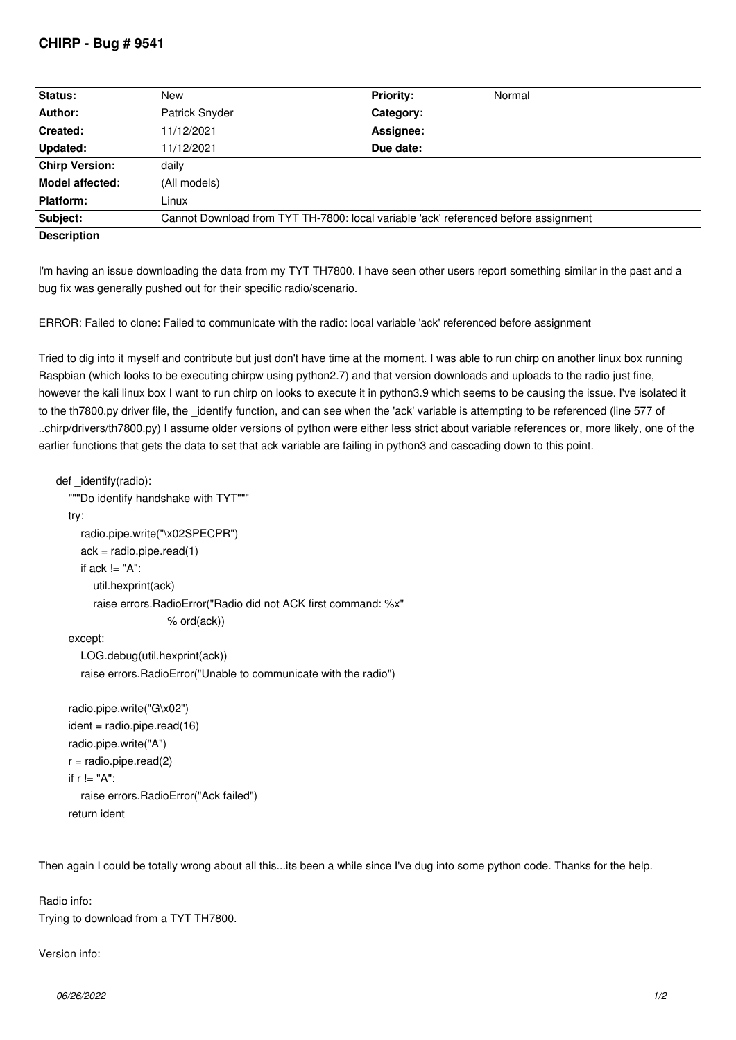## **CHIRP - Bug # 9541**

| Status:                                                                                                                                                                                                                                                                                                                                                                                                                                                                                                                                                                                                                                                                                                                                                                                                                            | <b>New</b>                                                                          | <b>Priority:</b><br>Normal |
|------------------------------------------------------------------------------------------------------------------------------------------------------------------------------------------------------------------------------------------------------------------------------------------------------------------------------------------------------------------------------------------------------------------------------------------------------------------------------------------------------------------------------------------------------------------------------------------------------------------------------------------------------------------------------------------------------------------------------------------------------------------------------------------------------------------------------------|-------------------------------------------------------------------------------------|----------------------------|
| Author:                                                                                                                                                                                                                                                                                                                                                                                                                                                                                                                                                                                                                                                                                                                                                                                                                            | Patrick Snyder                                                                      | Category:                  |
| Created:                                                                                                                                                                                                                                                                                                                                                                                                                                                                                                                                                                                                                                                                                                                                                                                                                           | 11/12/2021                                                                          | Assignee:                  |
| <b>Updated:</b>                                                                                                                                                                                                                                                                                                                                                                                                                                                                                                                                                                                                                                                                                                                                                                                                                    | 11/12/2021                                                                          | Due date:                  |
| <b>Chirp Version:</b>                                                                                                                                                                                                                                                                                                                                                                                                                                                                                                                                                                                                                                                                                                                                                                                                              | daily                                                                               |                            |
| <b>Model affected:</b>                                                                                                                                                                                                                                                                                                                                                                                                                                                                                                                                                                                                                                                                                                                                                                                                             | (All models)                                                                        |                            |
| <b>Platform:</b>                                                                                                                                                                                                                                                                                                                                                                                                                                                                                                                                                                                                                                                                                                                                                                                                                   | Linux                                                                               |                            |
| Subject:                                                                                                                                                                                                                                                                                                                                                                                                                                                                                                                                                                                                                                                                                                                                                                                                                           | Cannot Download from TYT TH-7800: local variable 'ack' referenced before assignment |                            |
| <b>Description</b>                                                                                                                                                                                                                                                                                                                                                                                                                                                                                                                                                                                                                                                                                                                                                                                                                 |                                                                                     |                            |
| I'm having an issue downloading the data from my TYT TH7800. I have seen other users report something similar in the past and a<br>bug fix was generally pushed out for their specific radio/scenario.                                                                                                                                                                                                                                                                                                                                                                                                                                                                                                                                                                                                                             |                                                                                     |                            |
| ERROR: Failed to clone: Failed to communicate with the radio: local variable 'ack' referenced before assignment                                                                                                                                                                                                                                                                                                                                                                                                                                                                                                                                                                                                                                                                                                                    |                                                                                     |                            |
| Tried to dig into it myself and contribute but just don't have time at the moment. I was able to run chirp on another linux box running<br>Raspbian (which looks to be executing chirpw using python2.7) and that version downloads and uploads to the radio just fine,<br>however the kali linux box I want to run chirp on looks to execute it in python3.9 which seems to be causing the issue. I've isolated it<br>to the th7800.py driver file, the _identify function, and can see when the 'ack' variable is attempting to be referenced (line 577 of<br>chirp/drivers/th7800.py) I assume older versions of python were either less strict about variable references or, more likely, one of the<br>earlier functions that gets the data to set that ack variable are failing in python3 and cascading down to this point. |                                                                                     |                            |
| def _identify(radio):<br>""Do identify handshake with TYT"""                                                                                                                                                                                                                                                                                                                                                                                                                                                                                                                                                                                                                                                                                                                                                                       |                                                                                     |                            |
| try:                                                                                                                                                                                                                                                                                                                                                                                                                                                                                                                                                                                                                                                                                                                                                                                                                               |                                                                                     |                            |
| radio.pipe.write("\x02SPECPR")                                                                                                                                                                                                                                                                                                                                                                                                                                                                                                                                                                                                                                                                                                                                                                                                     |                                                                                     |                            |
| $ack = radio.pipe.read(1)$                                                                                                                                                                                                                                                                                                                                                                                                                                                                                                                                                                                                                                                                                                                                                                                                         |                                                                                     |                            |
| if $ack = "A":$                                                                                                                                                                                                                                                                                                                                                                                                                                                                                                                                                                                                                                                                                                                                                                                                                    |                                                                                     |                            |
| util.hexprint(ack)                                                                                                                                                                                                                                                                                                                                                                                                                                                                                                                                                                                                                                                                                                                                                                                                                 |                                                                                     |                            |
| raise errors.RadioError("Radio did not ACK first command: %x"                                                                                                                                                                                                                                                                                                                                                                                                                                                                                                                                                                                                                                                                                                                                                                      |                                                                                     |                            |
| $%$ ord $(ack)$ )                                                                                                                                                                                                                                                                                                                                                                                                                                                                                                                                                                                                                                                                                                                                                                                                                  |                                                                                     |                            |
| except:                                                                                                                                                                                                                                                                                                                                                                                                                                                                                                                                                                                                                                                                                                                                                                                                                            |                                                                                     |                            |
| LOG.debug(util.hexprint(ack))                                                                                                                                                                                                                                                                                                                                                                                                                                                                                                                                                                                                                                                                                                                                                                                                      |                                                                                     |                            |
| raise errors. Radio Error ("Unable to communicate with the radio")                                                                                                                                                                                                                                                                                                                                                                                                                                                                                                                                                                                                                                                                                                                                                                 |                                                                                     |                            |
|                                                                                                                                                                                                                                                                                                                                                                                                                                                                                                                                                                                                                                                                                                                                                                                                                                    |                                                                                     |                            |
| radio.pipe.write("G\x02")                                                                                                                                                                                                                                                                                                                                                                                                                                                                                                                                                                                                                                                                                                                                                                                                          |                                                                                     |                            |
| $ident = radio.pipe.read(16)$                                                                                                                                                                                                                                                                                                                                                                                                                                                                                                                                                                                                                                                                                                                                                                                                      |                                                                                     |                            |
| radio.pipe.write("A")                                                                                                                                                                                                                                                                                                                                                                                                                                                                                                                                                                                                                                                                                                                                                                                                              |                                                                                     |                            |
| $r = radio.pipe.read(2)$                                                                                                                                                                                                                                                                                                                                                                                                                                                                                                                                                                                                                                                                                                                                                                                                           |                                                                                     |                            |
| if $r = "A":$                                                                                                                                                                                                                                                                                                                                                                                                                                                                                                                                                                                                                                                                                                                                                                                                                      |                                                                                     |                            |
| raise errors.RadioError("Ack failed")                                                                                                                                                                                                                                                                                                                                                                                                                                                                                                                                                                                                                                                                                                                                                                                              |                                                                                     |                            |
| return ident                                                                                                                                                                                                                                                                                                                                                                                                                                                                                                                                                                                                                                                                                                                                                                                                                       |                                                                                     |                            |
|                                                                                                                                                                                                                                                                                                                                                                                                                                                                                                                                                                                                                                                                                                                                                                                                                                    |                                                                                     |                            |
| Then again I could be totally wrong about all thisits been a while since I've dug into some python code. Thanks for the help.                                                                                                                                                                                                                                                                                                                                                                                                                                                                                                                                                                                                                                                                                                      |                                                                                     |                            |
| Radio info:                                                                                                                                                                                                                                                                                                                                                                                                                                                                                                                                                                                                                                                                                                                                                                                                                        |                                                                                     |                            |

*Trying to download from a TYT TH7800.*

*Version info:*